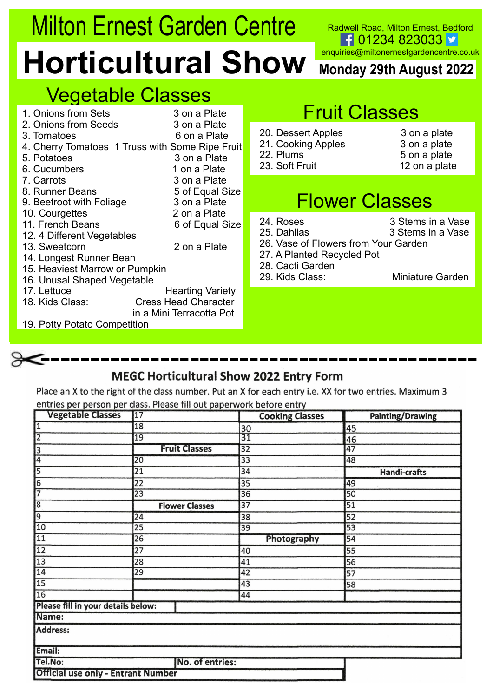# Milton Ernest Garden Centre<br>
Horticultural Show Monday 29th August 2022<br>
Vegetable Classes<br>
A Chions from Sets<br>
A Chions from Sets<br>
A Chions from Sets<br>
A Chions from Sets<br>
A Chions from Sets<br>
B Date Plate Fruit Classes Milton Ernest Garden Centre Readwell Road, Milton Ernest, Bedford<br>**Horticultural Show** Monday 29th August 2022 Form Seeds Truss with Some Ripe Fuit Providing Apples<br>
The Classes Son a Plate Read of Truss with Some Ripe Fuit Providing Apples<br>
Fruit Classes<br>
Fruit Classes<br>
Fruit Classes<br>
Fruit Classes<br>
Fruit Classes<br>
Fruit Classes<br>
F Milton Ernest Garden Centre<br> **Horticultural Show** Monday 29th August 2022<br>
Vegetable Classes<br>
1. Onions from Sets 3 on a Plate<br>
3. Tomatoes 1 Truss with Some Ripe Fruit Classes<br>
4. Cherry Tomatoes 1 Truss with Some Ripe Fr Milton Ernest Garden Centre<br> **Horticultural Show** Redwell Road, Milton Ernest, Bedford<br>
2. Onions from Sets<br>
2. Onions from Sets<br>
2. Onions from Sets<br>
2. Onions from Sets<br>
3. On a Plate<br>
2. Onions from Sets<br>
3. On a Plate<br> Milton Ernest Garden Centre<br>
Morticultural Show Monday 29th August 2022<br>
Vegetable Classes<br>
3. Tomatoes a son a Plate<br>
3. Tomatoes a son a Plate<br>
3. Tomatoes a son a Plate<br>
4. Cherry Tomatoes 1 Truss with Some Ripe Fruit C

Road, Milton Ernest, Bedford<br>01234 823033 V<br>@miltonernestgardencentre.co.uk<br>I**y 29th August 2022** Radwell Road, Milton Ernest, Bedford<br>
F 01234 823033<br>
enquiries@miltonernestgardencentre.co.uk<br>
Monday 29th August 2022<br>
Tuit Classes Radwell Road, Milton Ernest, Bedford<br>
Flower Classes<br>
Monday 29th August 2022<br>
Fruit Classes<br>
Sert Apples<br>
Son a plate<br>
Fruit 12 on a plate<br>
Flower Classes<br>
Son a plate<br>
Flower Classes<br>
Stems in a Vase<br>
Towers from Your Ga **ntre Radwell Road, Milton Ernest, Bedford**<br> **20. Dessert Apples**<br>
20. Dessert Apples<br>
20. Dessert Apples<br>
21. Cooking Apples<br>
23. Soft Fruit<br>
23. Soft Fruit<br>
23. Soft Fruit<br>
23. Soft Fruit<br>
23. Soft Fruit<br>
23. Soft Fruit<br> **ntre**<br> **21. Cooking Apples**<br> **21. Cooking Apples**<br> **21. Cooking Apples**<br> **21. Cooking Apples**<br>
23. Soft Fruit<br> **21. Cooking Apples**<br>
23. Soft Fruit<br>
23. Soft Fruit<br>
23. Soft Fruit<br>
23. Soft Fruit<br>
24. Cooking Apples<br>
23. **ntre** Radwell Road, Milton Ernest, Bedford<br> **22. Plums**<br> **22. Plums**<br>
22. Plums<br>
22. Plums<br>
23. Soft Fruit<br>
23. Soft Fruit<br>
23. Soft Fruit<br>
23. Soft Fruit<br>
23. Soft Fruit<br>
23. Soft Fruit<br>
23. Soft Fruit<br>
23. Soft Fruit<br>
2 **COM**<br> **Example 12 on a plate of the CALC COM**<br> **2022**<br> **2022**<br> **2023**<br> **2022**<br> **2023**<br> **2023**<br> **2023**<br> **2023**<br> **2022**<br> **2023**<br> **2023**<br> **2022**<br> **2023**<br> **2022**<br> **2023**<br> **2022**<br> **2023**<br> **2023**<br> **2023**<br> **2023**<br> **2023**<br> **2029 THE Readwell Road, Milton Ernest, Bedford**<br> **POW** Monday 29th August 2022<br>
Properties@miltonernestgardencentre.co.uk<br>
20. Dessert Apples<br>
21. Cooking Apples<br>
22. Plums 5 on a plate<br>
23. Soft Fruit<br> **FIOWER Classes**<br>
24. R **no Concept Contains 2 Stems in a Vase of Concept Concept Concept Concept Concept Concept Concept Concept Concept Concept Concept Concept Concept Concept Concept Concept Concept Concept Concept Concept Concept Concept Conc** 

| <b>Milton Ernest Garden Centre</b><br>Radwell Road, Milton Ernest, Bedford |                                                                                         |  |  |  |
|----------------------------------------------------------------------------|-----------------------------------------------------------------------------------------|--|--|--|
|                                                                            | $f$ 01234 823033<br>enquiries@miltonernestgardencentre.co.uk<br>Monday 29th August 2022 |  |  |  |
|                                                                            | <b>Fruit Classes</b>                                                                    |  |  |  |
| 20. Dessert Apples<br>21. Cooking Apples<br>22. Plums<br>23. Soft Fruit    | 3 on a plate<br>3 on a plate<br>5 on a plate<br>12 on a plate                           |  |  |  |
|                                                                            | <b>Flower Classes</b>                                                                   |  |  |  |
| 24. Roses<br>25. Dahlias<br>27. A Planted Recycled Pot<br>28. Cacti Garden | 3 Stems in a Vase<br>3 Stems in a Vase<br>26. Vase of Flowers from Your Garden          |  |  |  |
|                                                                            | <b>Miniature Garden</b>                                                                 |  |  |  |
|                                                                            | <b>Horticultural Show</b><br>29. Kids Class:                                            |  |  |  |

- **Example of FROM Monday 29th August 2022**<br> **Property COM Monday 29th August 2022**<br>
Fruit Classes<br>
20. Dessert Apples<br>
21. Cooking Apples<br>
23. Soft Fruit<br>
23. Soft Fruit<br>
Flower Classes<br>
25. Dahlias<br>
25. Dahlias<br>
25. Dahlia **Example 18 Second Property Control Control Control Control Control Control Control Control Control Control Control Control Control Control Control Control Control Control Control Control Control Control Control Control Co Example 12 All August 2022**<br> **Example 12 All August 2022**<br> **Pruit Classes**<br>
20. Dessert Apples<br>
21. Cooking Apples<br>
22. Plums<br>
23. Soft Fruit<br>
23. Soft Fruit<br> **Elower Classes**<br>
24. Roses<br>
25. Dahlias<br>
26. Vase of Flowers **EXECUTE SERVIS CONCRETE:**<br>
20. Dessert Apples<br>
20. Dessert Apples<br>
21. Cooking Apples<br>
21. Cooking Apples<br>
23. Soft Fruit<br>
23. Soft Fruit<br> **EXECUTE CRISSES**<br>
24. Roses<br>
25. Dahlias<br>
25. Dahlias<br>
26. Vase of Flowers from Y
	-

- -
	-
	-
- -
- 

# --------------------------------------------

Place an X to the right of the class number. Put an X for each entry i.e. XX for two entries. Maximum 3

## entries per person per class. Please fill out paperwork before entry

| <b>Vegetable Classes</b>                  | $\overline{17}$       | <b>Cooking Classes</b> | <b>Painting/Drawing</b> |
|-------------------------------------------|-----------------------|------------------------|-------------------------|
| π                                         | 18                    | 30                     | 45                      |
| $\overline{2}$                            | 19                    | $\overline{31}$        | 46                      |
| $\frac{3}{4}$                             | <b>Fruit Classes</b>  | $\overline{32}$        | $\overline{47}$         |
|                                           | $\overline{20}$       | $\overline{33}$        | 48                      |
| $\overline{5}$                            | $\overline{21}$       | 34                     | <b>Handi-crafts</b>     |
| $\frac{6}{7}$                             | 22                    | 35                     | 49                      |
|                                           | 23                    | 36                     | 50                      |
| $\sqrt{8}$                                | <b>Flower Classes</b> | $\overline{37}$        | $\overline{51}$         |
| $\frac{9}{10}$                            | 24                    | 38                     | 52                      |
|                                           | $\overline{25}$       | 39                     | 53                      |
| $\overline{11}$                           | 26                    | Photography            | 54                      |
| 12                                        | 27                    | 40                     | 55                      |
| $\overline{13}$                           | 28                    | 41                     | 56                      |
| $\overline{14}$                           | 29                    | 42                     | 57                      |
| $\overline{15}$                           |                       | 43                     | 58                      |
| $\overline{16}$                           |                       | 44                     |                         |
| Please fill in your details below:        |                       |                        |                         |
| Name:                                     |                       |                        |                         |
| Address:                                  |                       |                        |                         |
| Email:                                    |                       |                        |                         |
| Tel.No:                                   | No. of entries:       |                        |                         |
| <b>Official use only - Entrant Number</b> |                       |                        |                         |